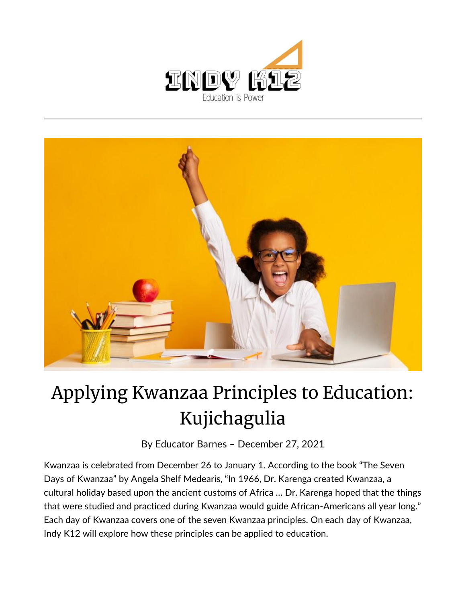



## Applying Kwanzaa Principles to Education: Kujichagulia

By [Educator Barnes](https://indy.education/author/shicole/) – December 27, 2021

Kwanzaa is celebrated from December 26 to January 1. According to the book "The Seven Days of Kwanzaa" by Angela Shelf Medearis, "In 1966, Dr. Karenga created Kwanzaa, a cultural holiday based upon the ancient customs of Africa … Dr. Karenga hoped that the things that were studied and practiced during Kwanzaa would guide African-Americans all year long." Each day of Kwanzaa covers one of the seven Kwanzaa principles. On each day of Kwanzaa, Indy K12 will explore how these principles can be applied to education.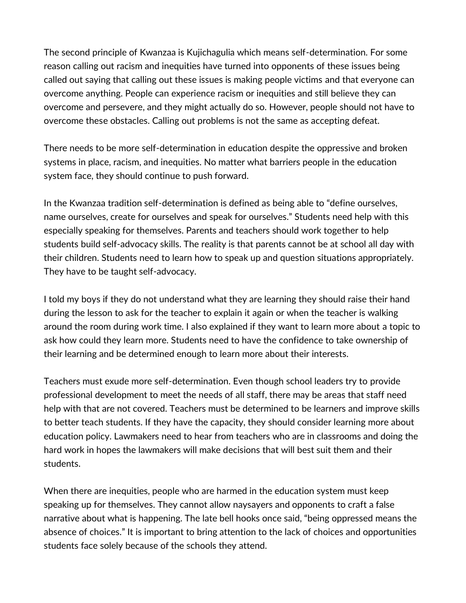The second principle of Kwanzaa is Kujichagulia which means self-determination. For some reason calling out racism and inequities have turned into opponents of these issues being called out saying that calling out these issues is making people victims and that everyone can overcome anything. People can experience racism or inequities and still believe they can overcome and persevere, and they might actually do so. However, people should not have to overcome these obstacles. Calling out problems is not the same as accepting defeat.

There needs to be more self-determination in education despite the oppressive and broken systems in place, racism, and inequities. No matter what barriers people in the education system face, they should continue to push forward.

In the Kwanzaa tradition self-determination is defined as being able to "define ourselves, name ourselves, create for ourselves and speak for ourselves." Students need help with this especially speaking for themselves. Parents and teachers should work together to help students build self-advocacy skills. The reality is that parents cannot be at school all day with their children. Students need to learn how to speak up and question situations appropriately. They have to be taught self-advocacy.

I told my boys if they do not understand what they are learning they should raise their hand during the lesson to ask for the teacher to explain it again or when the teacher is walking around the room during work time. I also explained if they want to learn more about a topic to ask how could they learn more. Students need to have the confidence to take ownership of their learning and be determined enough to learn more about their interests.

Teachers must exude more self-determination. Even though school leaders try to provide professional development to meet the needs of all staff, there may be areas that staff need help with that are not covered. Teachers must be determined to be learners and improve skills to better teach students. If they have the capacity, they should consider learning more about education policy. Lawmakers need to hear from teachers who are in classrooms and doing the hard work in hopes the lawmakers will make decisions that will best suit them and their students.

When there are inequities, people who are harmed in the education system must keep speaking up for themselves. They cannot allow naysayers and opponents to craft a false narrative about what is happening. The late bell hooks once said, "being oppressed means the absence of choices." It is important to bring attention to the lack of choices and opportunities students face solely because of the schools they attend.